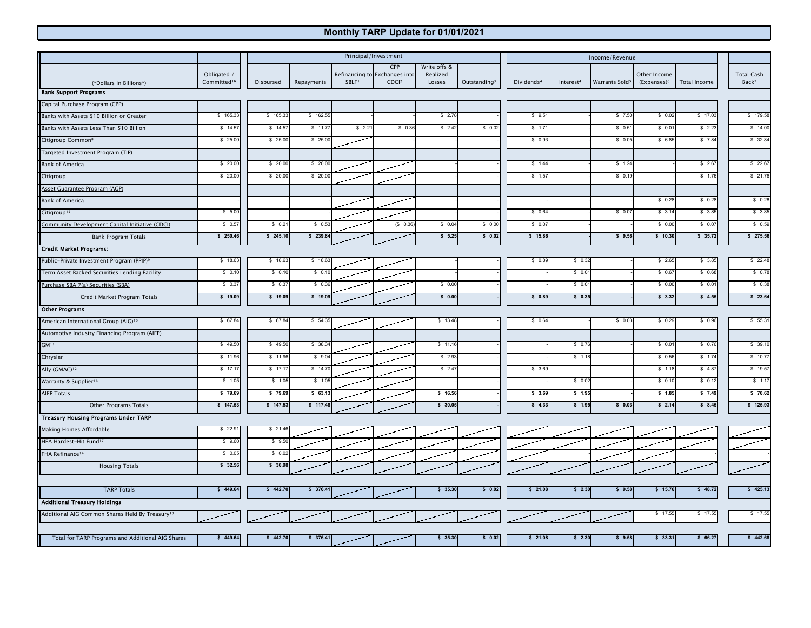## **Monthly TARP Update for 01/01/2021**

|                                                             |                                        | Principal/Investment |            |                   |                                                           |                                    |                          | Income/Revenue         |                       |                            |                               |                     |                                        |
|-------------------------------------------------------------|----------------------------------------|----------------------|------------|-------------------|-----------------------------------------------------------|------------------------------------|--------------------------|------------------------|-----------------------|----------------------------|-------------------------------|---------------------|----------------------------------------|
| (*Dollars in Billions*)                                     | Obligated /<br>Committed <sup>16</sup> | Disbursed            | Repayments | SBLF <sup>1</sup> | CPP<br>Refinancing to Exchanges into<br>CDCl <sup>2</sup> | Write offs &<br>Realized<br>Losses | Outstanding <sup>3</sup> | Dividends <sup>4</sup> | Interest <sup>4</sup> | Warrants Sold <sup>5</sup> | Other Income<br>$(Express)^6$ | <b>Total Income</b> | <b>Total Cash</b><br>Back <sup>7</sup> |
| <b>Bank Support Programs</b>                                |                                        |                      |            |                   |                                                           |                                    |                          |                        |                       |                            |                               |                     |                                        |
| Capital Purchase Program (CPP)                              |                                        |                      |            |                   |                                                           |                                    |                          |                        |                       |                            |                               |                     |                                        |
| Banks with Assets \$10 Billion or Greater                   | \$165.33                               | \$165.33             | \$162.55   |                   |                                                           | \$2.78                             |                          | \$9.5                  |                       | \$7.50                     | \$0.02                        | \$17.03             | \$179.58                               |
| Banks with Assets Less Than \$10 Billion                    | \$14.5                                 | \$14.5               | \$11.77    | \$2.21            | \$0.36                                                    | \$2.42                             | \$0.02                   | \$ 1.7                 |                       | \$0.5                      | \$0.0                         | \$2.23              | \$14.00                                |
| Citigroup Common <sup>8</sup>                               | \$25.00                                | \$25.00              | \$25.00    |                   |                                                           |                                    |                          | \$0.93                 |                       | \$0.05                     | \$6.85                        | \$7.84              | \$32.84                                |
| Targeted Investment Program (TIP)                           |                                        |                      |            |                   |                                                           |                                    |                          |                        |                       |                            |                               |                     |                                        |
| <b>Bank of America</b>                                      | \$20.00                                | \$ 20.00             | \$ 20.0    |                   |                                                           |                                    |                          | \$1.44                 |                       | \$1.24                     |                               | \$2.67              | \$22.67                                |
| Citigroup                                                   | \$ 20.00                               | \$ 20.0              | \$ 20.0    |                   |                                                           |                                    |                          | \$1.5                  |                       | \$0.19                     |                               | \$ 1.76             | \$21.76                                |
| Asset Guarantee Program (AGP)                               |                                        |                      |            |                   |                                                           |                                    |                          |                        |                       |                            |                               |                     |                                        |
| <b>Bank of America</b>                                      |                                        |                      |            |                   |                                                           |                                    |                          |                        |                       |                            | \$0.28                        | \$0.28              | \$0.28                                 |
| Citigroup <sup>15</sup>                                     | \$5.00                                 |                      |            |                   |                                                           |                                    |                          | \$0.6                  |                       | \$0.07                     | \$3.14                        | \$3.85              | \$3.85                                 |
| Community Development Capital Initiative (CDCI)             | \$0.57                                 | \$ 0.21              | \$0.53     |                   | (S 0.36)                                                  | \$0.04                             | \$0.00                   | \$0.07                 |                       |                            | \$0.00                        | \$0.07              | \$0.59                                 |
| <b>Bank Program Totals</b>                                  | \$250.46                               | \$245.10             | \$239.84   |                   |                                                           | \$5.25                             | \$0.02                   | \$15.86                |                       | \$9.56                     | \$10.30                       | \$35.72             | \$275.56                               |
| <b>Credit Market Programs:</b>                              |                                        |                      |            |                   |                                                           |                                    |                          |                        |                       |                            |                               |                     |                                        |
| Public-Private Investment Program (PPIP) <sup>9</sup>       | \$18.63                                | \$18.63              | \$18.6     |                   |                                                           |                                    |                          | \$0.8                  | \$0.3                 |                            | \$2.65                        | \$3.85              | \$22.48                                |
| Term Asset Backed Securities Lending Facility               | \$0.10                                 | \$0.10               | \$0.1      |                   |                                                           |                                    |                          |                        | \$0.01                |                            | \$0.67                        | \$0.68              | \$0.78                                 |
| Purchase SBA 7(a) Securities (SBA)                          | \$0.37                                 | \$0.37               | \$0.36     |                   |                                                           | \$0.00                             |                          |                        | \$0.01                |                            | \$0.00                        | \$0.01              | \$0.38                                 |
| Credit Market Program Totals                                | \$ 19.09                               | \$ 19.09             | \$ 19.09   |                   |                                                           | \$0.00                             |                          | \$ 0.8                 | \$0.35                |                            | \$3.32                        | \$4.55              | \$23.64                                |
| <b>Other Programs</b>                                       |                                        |                      |            |                   |                                                           |                                    |                          |                        |                       |                            |                               |                     |                                        |
| American International Group (AIG) <sup>10</sup>            | \$67.84                                | \$67.84              | \$54.35    |                   |                                                           | \$13.48                            |                          | \$0.64                 |                       | \$0.03                     | \$0.29                        | \$0.96              | \$55.31                                |
| Automotive Industry Financing Program (AIFP)                |                                        |                      |            |                   |                                                           |                                    |                          |                        |                       |                            |                               |                     |                                        |
| GM <sup>11</sup>                                            | \$49.50                                | \$49.50              | \$38.34    |                   |                                                           | \$11.16                            |                          |                        | \$0.76                |                            | \$0.01                        | \$ 0.76             | \$39.10                                |
| Chrysler                                                    | \$11.96                                | \$ 11.96             | \$9.04     |                   |                                                           | \$2.93                             |                          |                        | \$1.18                |                            | \$0.56                        | \$1.74              | \$10.77                                |
| Ally (GMAC) <sup>12</sup>                                   | \$17.17                                | \$17.17              | \$14.70    |                   |                                                           | \$2.47                             |                          | \$3.69                 |                       |                            | \$1.18                        | \$4.87              | \$19.57                                |
| Warranty & Supplier <sup>13</sup>                           | \$1.05                                 | \$ 1.05              | \$ 1.05    |                   |                                                           |                                    |                          |                        | \$0.02                |                            | \$0.10                        | \$0.12              | \$1.17                                 |
| AIFP Totals                                                 | \$79.69                                | \$79.69              | \$63.13    |                   |                                                           | \$16.56                            |                          | \$3.69                 | \$ 1.95               |                            | \$ 1.85                       | \$7.49              | \$70.62                                |
| Other Programs Totals                                       | \$147.53                               | \$147.53             | \$117.48   |                   |                                                           | \$30.05                            |                          | \$4.33                 | \$1.95                | \$0.03                     | \$2.14                        | \$8.45              | \$125.93                               |
| <b>Treasury Housing Programs Under TARP</b>                 |                                        |                      |            |                   |                                                           |                                    |                          |                        |                       |                            |                               |                     |                                        |
| Making Homes Affordable                                     | \$22.9                                 | \$21.4               |            |                   |                                                           |                                    |                          |                        |                       |                            |                               |                     |                                        |
| HFA Hardest-Hit Fund <sup>17</sup>                          | \$9.60                                 | \$9.5                |            |                   |                                                           |                                    |                          |                        |                       |                            |                               |                     |                                        |
| FHA Refinance <sup>14</sup>                                 | \$0.05                                 | \$0.02               |            |                   |                                                           |                                    |                          |                        |                       |                            |                               |                     |                                        |
| <b>Housing Totals</b>                                       | \$32.56                                | \$30.9               |            |                   |                                                           |                                    |                          |                        |                       |                            |                               |                     |                                        |
| <b>TARP Totals</b>                                          | \$449.64                               | \$442.70             | \$376.41   |                   |                                                           | \$35.30                            | \$0.02                   | \$21.08                | \$2.30                | \$9.58                     | \$15.76                       | \$48.72             | \$425.13                               |
| <b>Additional Treasury Holdings</b>                         |                                        |                      |            |                   |                                                           |                                    |                          |                        |                       |                            |                               |                     |                                        |
| Additional AIG Common Shares Held By Treasury <sup>10</sup> |                                        |                      |            |                   |                                                           |                                    |                          |                        |                       |                            | \$17.55                       | $\sqrt{17.55}$      | \$17.55                                |
|                                                             |                                        |                      |            |                   |                                                           |                                    |                          |                        |                       |                            |                               |                     |                                        |
| Total for TARP Programs and Additional AIG Shares           | \$449.64                               | \$442.70             | \$376.41   |                   |                                                           | \$35.30                            | \$0.02                   | \$21.08                | \$2.30                | \$9.58                     | \$33.31                       | \$66.27             | \$442.68                               |